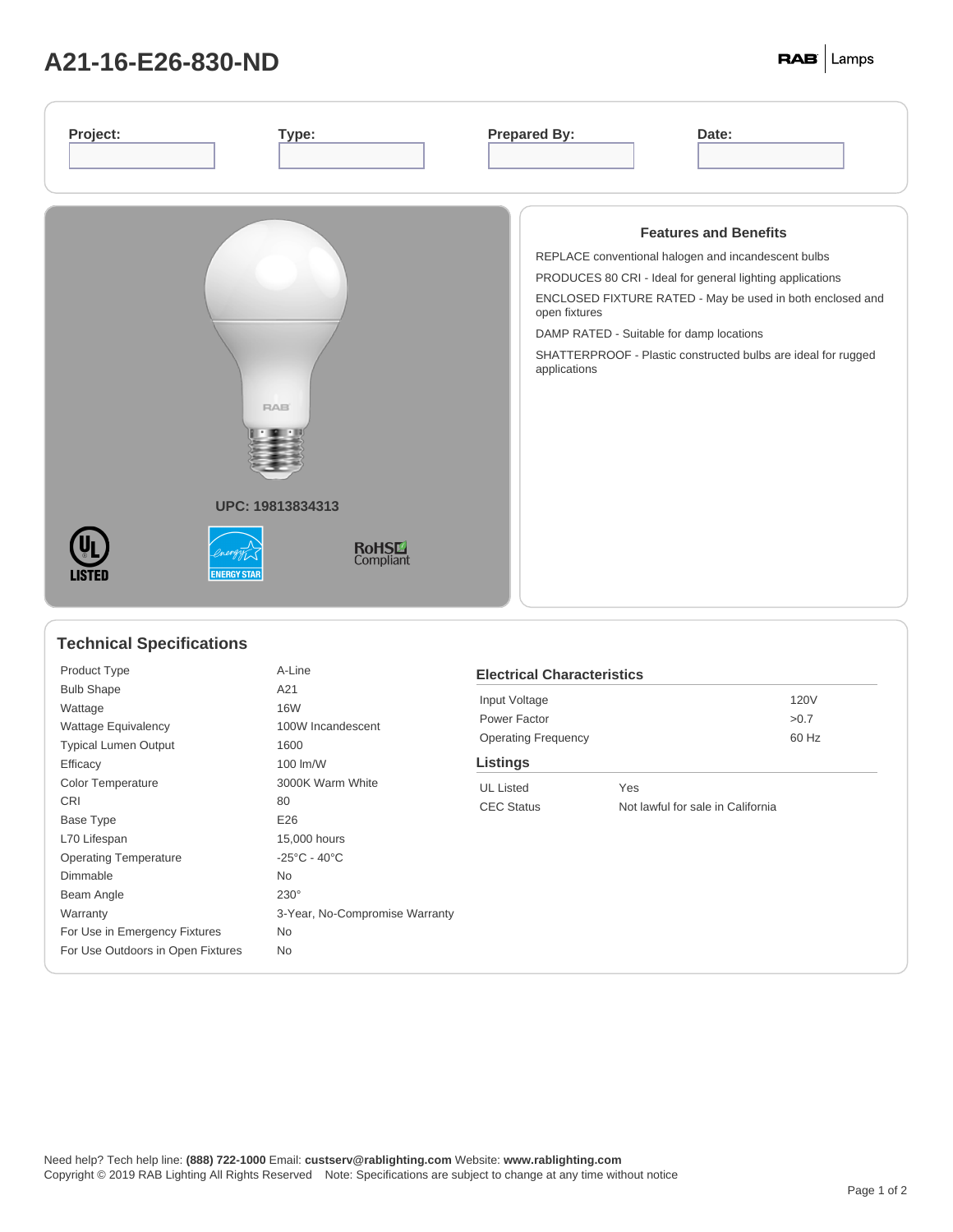## **A21-16-E26-830-ND**

| Project:                                                                                    | <b>Prepared By:</b>                                                                                                                                                                                                                                                                                                                                         |
|---------------------------------------------------------------------------------------------|-------------------------------------------------------------------------------------------------------------------------------------------------------------------------------------------------------------------------------------------------------------------------------------------------------------------------------------------------------------|
| Type:                                                                                       | Date:                                                                                                                                                                                                                                                                                                                                                       |
| <b>RAB</b><br>UPC: 19813834313<br><b>RoHSL</b><br>Compliant<br><b>ENERGY STAR</b><br>LISTED | <b>Features and Benefits</b><br>REPLACE conventional halogen and incandescent bulbs<br>PRODUCES 80 CRI - Ideal for general lighting applications<br>ENCLOSED FIXTURE RATED - May be used in both enclosed and<br>open fixtures<br>DAMP RATED - Suitable for damp locations<br>SHATTERPROOF - Plastic constructed bulbs are ideal for rugged<br>applications |

## **Technical Specifications**

| Product Type                      | A-Line                            |
|-----------------------------------|-----------------------------------|
| <b>Bulb Shape</b>                 | A21                               |
| Wattage                           | <b>16W</b>                        |
| <b>Wattage Equivalency</b>        | 100W Incandescent                 |
| <b>Typical Lumen Output</b>       | 1600                              |
| Efficacy                          | 100 lm/W                          |
| <b>Color Temperature</b>          | 3000K Warm White                  |
| CRI                               | 80                                |
| Base Type                         | E26                               |
| L70 Lifespan                      | 15,000 hours                      |
| <b>Operating Temperature</b>      | $-25^{\circ}$ C - 40 $^{\circ}$ C |
| Dimmable                          | No                                |
| Beam Angle                        | $230^\circ$                       |
| Warranty                          | 3-Year, No-Compromise Warranty    |
| For Use in Emergency Fixtures     | No.                               |
| For Use Outdoors in Open Fixtures | <b>No</b>                         |
|                                   |                                   |

| <b>Electrical Characteristics</b>                      |     |       |  |  |  |  |
|--------------------------------------------------------|-----|-------|--|--|--|--|
| Input Voltage                                          |     | 120V  |  |  |  |  |
| Power Factor                                           |     | >0.7  |  |  |  |  |
| <b>Operating Frequency</b>                             |     | 60 Hz |  |  |  |  |
| <b>Listings</b>                                        |     |       |  |  |  |  |
| <b>UL</b> Listed                                       | Yes |       |  |  |  |  |
| Not lawful for sale in California<br><b>CEC Status</b> |     |       |  |  |  |  |